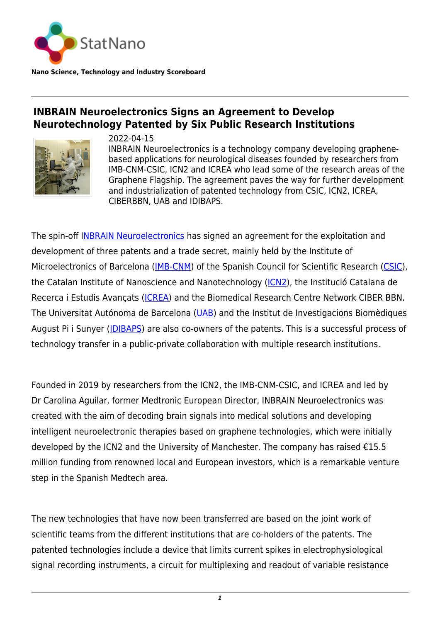

**Nano Science, Technology and Industry Scoreboard**

## **INBRAIN Neuroelectronics Signs an Agreement to Develop Neurotechnology Patented by Six Public Research Institutions**



2022-04-15 INBRAIN Neuroelectronics is a technology company developing graphenebased applications for neurological diseases founded by researchers from IMB-CNM-CSIC, ICN2 and ICREA who lead some of the research areas of the Graphene Flagship. The agreement paves the way for further development and industrialization of patented technology from CSIC, ICN2, ICREA, CIBERBBN, UAB and IDIBAPS.

The spin-off I[NBRAIN Neuroelectronics](https://www.inbrain-neuroelectronics.com/) has signed an agreement for the exploitation and development of three patents and a trade secret, mainly held by the Institute of Microelectronics of Barcelona ([IMB-CNM](https://www.imb-cnm.csic.es/en)) of the Spanish Council for Scientific Research [\(CSIC](https://www.csic.es/en/csic)), the Catalan Institute of Nanoscience and Nanotechnology [\(ICN2\)](https://www.csic.es/en/csic), the Institució Catalana de Recerca i Estudis Avançats ([ICREA](https://www.icrea.cat)) and the Biomedical Research Centre Network CIBER BBN. The Universitat Autónoma de Barcelona [\(UAB\)](https://www.uab.cat/) and the Institut de Investigacions Biomèdiques August Pi i Sunyer ([IDIBAPS\)](https://www.ub.edu/web/ub/en/recerca_innovacio/recerca_a_la_UB/instituts/institutsparticipats/idibaps.html) are also co-owners of the patents. This is a successful process of technology transfer in a public-private collaboration with multiple research institutions.

Founded in 2019 by researchers from the ICN2, the IMB-CNM-CSIC, and ICREA and led by Dr Carolina Aguilar, former Medtronic European Director, INBRAIN Neuroelectronics was created with the aim of decoding brain signals into medical solutions and developing intelligent neuroelectronic therapies based on graphene technologies, which were initially developed by the ICN2 and the University of Manchester. The company has raised  $£15.5$ million funding from renowned local and European investors, which is a remarkable venture step in the Spanish Medtech area.

The new technologies that have now been transferred are based on the joint work of scientific teams from the different institutions that are co-holders of the patents. The patented technologies include a device that limits current spikes in electrophysiological signal recording instruments, a circuit for multiplexing and readout of variable resistance